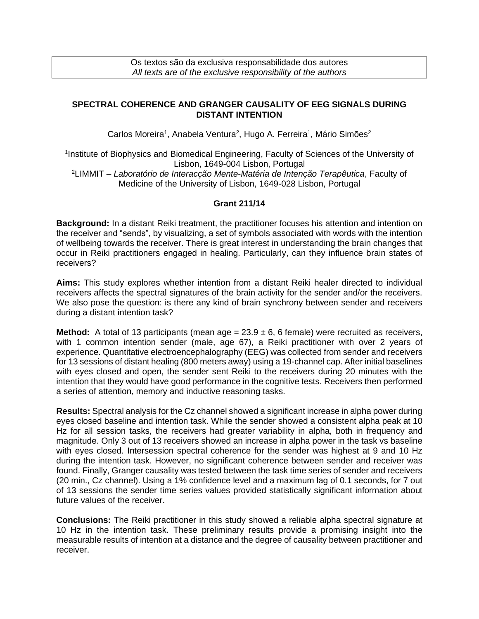## **SPECTRAL COHERENCE AND GRANGER CAUSALITY OF EEG SIGNALS DURING DISTANT INTENTION**

Carlos Moreira<sup>1</sup>, Anabela Ventura<sup>2</sup>, Hugo A. Ferreira<sup>1</sup>, Mário Simões<sup>2</sup>

<sup>1</sup>Institute of Biophysics and Biomedical Engineering, Faculty of Sciences of the University of Lisbon, 1649-004 Lisbon, Portugal

<sup>2</sup>LIMMIT – *Laboratório de Interacção Mente-Matéria de Intenção Terapêutica*, Faculty of Medicine of the University of Lisbon, 1649-028 Lisbon, Portugal

## **Grant 211/14**

**Background:** In a distant Reiki treatment, the practitioner focuses his attention and intention on the receiver and "sends", by visualizing, a set of symbols associated with words with the intention of wellbeing towards the receiver. There is great interest in understanding the brain changes that occur in Reiki practitioners engaged in healing. Particularly, can they influence brain states of receivers?

**Aims:** This study explores whether intention from a distant Reiki healer directed to individual receivers affects the spectral signatures of the brain activity for the sender and/or the receivers. We also pose the question: is there any kind of brain synchrony between sender and receivers during a distant intention task?

**Method:** A total of 13 participants (mean  $age = 23.9 \pm 6$ , 6 female) were recruited as receivers, with 1 common intention sender (male, age 67), a Reiki practitioner with over 2 years of experience. Quantitative electroencephalography (EEG) was collected from sender and receivers for 13 sessions of distant healing (800 meters away) using a 19-channel cap. After initial baselines with eyes closed and open, the sender sent Reiki to the receivers during 20 minutes with the intention that they would have good performance in the cognitive tests. Receivers then performed a series of attention, memory and inductive reasoning tasks.

**Results:** Spectral analysis for the Cz channel showed a significant increase in alpha power during eyes closed baseline and intention task. While the sender showed a consistent alpha peak at 10 Hz for all session tasks, the receivers had greater variability in alpha, both in frequency and magnitude. Only 3 out of 13 receivers showed an increase in alpha power in the task vs baseline with eyes closed. Intersession spectral coherence for the sender was highest at 9 and 10 Hz during the intention task. However, no significant coherence between sender and receiver was found. Finally, Granger causality was tested between the task time series of sender and receivers (20 min., Cz channel). Using a 1% confidence level and a maximum lag of 0.1 seconds, for 7 out of 13 sessions the sender time series values provided statistically significant information about future values of the receiver.

**Conclusions:** The Reiki practitioner in this study showed a reliable alpha spectral signature at 10 Hz in the intention task. These preliminary results provide a promising insight into the measurable results of intention at a distance and the degree of causality between practitioner and receiver.